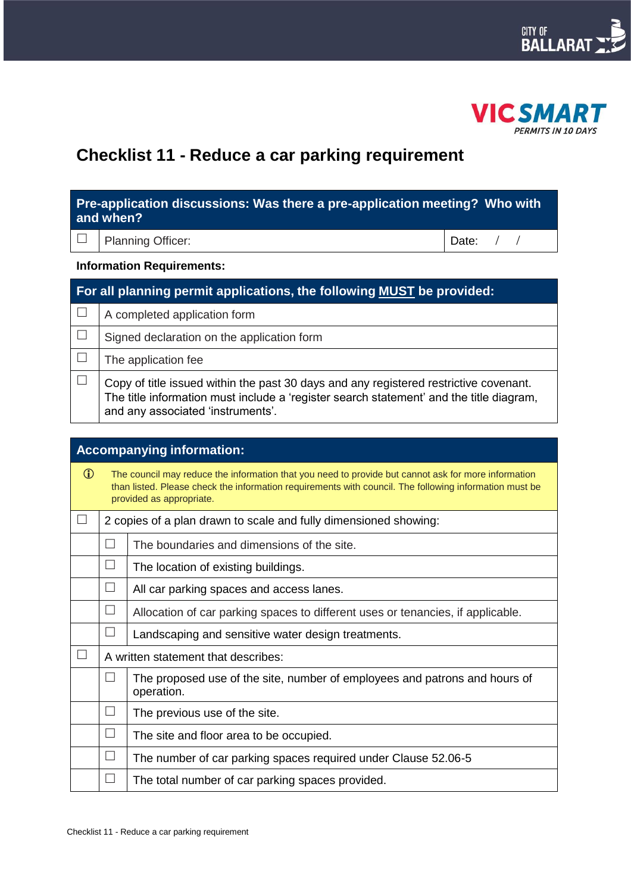



# **Checklist 11 - Reduce a car parking requirement**

| Pre-application discussions: Was there a pre-application meeting? Who with<br>and when? |                                                                                                                                                                                                                       |       |  |  |
|-----------------------------------------------------------------------------------------|-----------------------------------------------------------------------------------------------------------------------------------------------------------------------------------------------------------------------|-------|--|--|
|                                                                                         | <b>Planning Officer:</b>                                                                                                                                                                                              | Date: |  |  |
| <b>Information Requirements:</b>                                                        |                                                                                                                                                                                                                       |       |  |  |
| For all planning permit applications, the following MUST be provided:                   |                                                                                                                                                                                                                       |       |  |  |
|                                                                                         | A completed application form                                                                                                                                                                                          |       |  |  |
|                                                                                         | Signed declaration on the application form                                                                                                                                                                            |       |  |  |
|                                                                                         | The application fee                                                                                                                                                                                                   |       |  |  |
|                                                                                         | Copy of title issued within the past 30 days and any registered restrictive covenant.<br>The title information must include a 'register search statement' and the title diagram,<br>and any associated 'instruments'. |       |  |  |

| <b>Accompanying information:</b>                                                                                                                                                                                                                        |                   |                                                                                          |  |  |
|---------------------------------------------------------------------------------------------------------------------------------------------------------------------------------------------------------------------------------------------------------|-------------------|------------------------------------------------------------------------------------------|--|--|
| $\bigcirc$<br>The council may reduce the information that you need to provide but cannot ask for more information<br>than listed. Please check the information requirements with council. The following information must be<br>provided as appropriate. |                   |                                                                                          |  |  |
|                                                                                                                                                                                                                                                         |                   | 2 copies of a plan drawn to scale and fully dimensioned showing:                         |  |  |
|                                                                                                                                                                                                                                                         | $\vert \ \ \vert$ | The boundaries and dimensions of the site.                                               |  |  |
|                                                                                                                                                                                                                                                         | $\vert \ \ \vert$ | The location of existing buildings.                                                      |  |  |
|                                                                                                                                                                                                                                                         |                   | All car parking spaces and access lanes.                                                 |  |  |
|                                                                                                                                                                                                                                                         | $\Box$            | Allocation of car parking spaces to different uses or tenancies, if applicable.          |  |  |
|                                                                                                                                                                                                                                                         | $\perp$           | Landscaping and sensitive water design treatments.                                       |  |  |
|                                                                                                                                                                                                                                                         |                   | A written statement that describes:                                                      |  |  |
|                                                                                                                                                                                                                                                         | $\mathbf{I}$      | The proposed use of the site, number of employees and patrons and hours of<br>operation. |  |  |
|                                                                                                                                                                                                                                                         | $\perp$           | The previous use of the site.                                                            |  |  |
|                                                                                                                                                                                                                                                         | $\perp$           | The site and floor area to be occupied.                                                  |  |  |
|                                                                                                                                                                                                                                                         | $\mathcal{L}$     | The number of car parking spaces required under Clause 52.06-5                           |  |  |
|                                                                                                                                                                                                                                                         | $\vert \ \ \vert$ | The total number of car parking spaces provided.                                         |  |  |